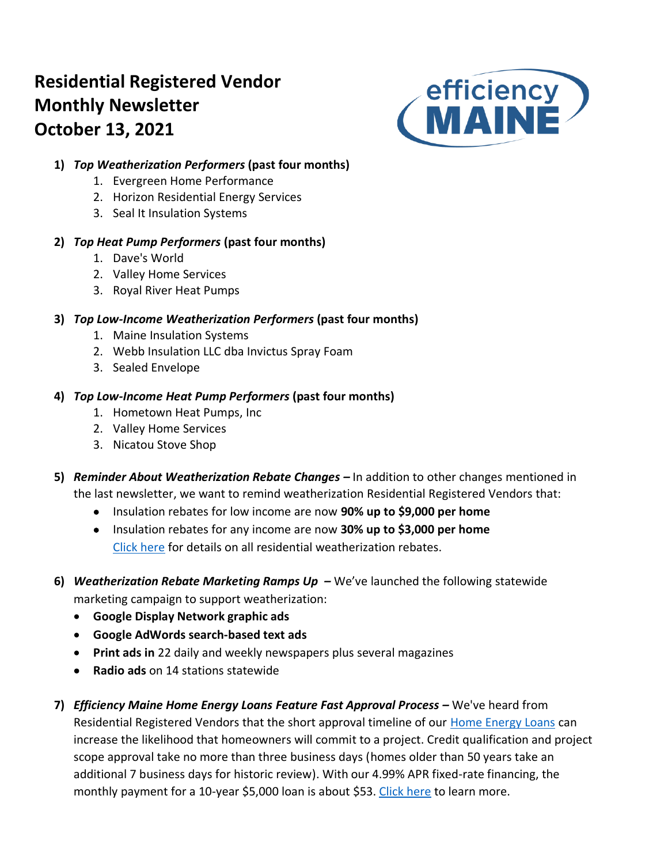# **Residential Registered Vendor Monthly Newsletter October 13, 2021**



## **1)** *Top Weatherization Performers* **(past four months)**

- 1. Evergreen Home Performance
- 2. Horizon Residential Energy Services
- 3. Seal It Insulation Systems

# **2)** *Top Heat Pump Performers* **(past four months)**

- 1. Dave's World
- 2. Valley Home Services
- 3. Royal River Heat Pumps

## **3)** *Top Low-Income Weatherization Performers* **(past four months)**

- 1. Maine Insulation Systems
- 2. Webb Insulation LLC dba Invictus Spray Foam
- 3. Sealed Envelope

# **4)** *Top Low-Income Heat Pump Performers* **(past four months)**

- 1. Hometown Heat Pumps, Inc
- 2. Valley Home Services
- 3. Nicatou Stove Shop
- **5)** *Reminder About Weatherization Rebate Changes –* In addition to other changes mentioned in the last newsletter, we want to remind weatherization Residential Registered Vendors that:
	- Insulation rebates for low income are now **90% up to \$9,000 per home**
	- Insulation rebates for any income are now **30% up to \$3,000 per home** [Click here](https://www.efficiencymaine.com/weatherization-rebates/) for details on all residential weatherization rebates.
- **6)** *Weatherization Rebate Marketing Ramps Up –* We've launched the following statewide marketing campaign to support weatherization:
	- **Google Display Network graphic ads**
	- **Google AdWords search-based text ads**
	- **Print ads in** 22 daily and weekly newspapers plus several magazines
	- **Radio ads** on 14 stations statewide
- **7)** *Efficiency Maine Home Energy Loans Feature Fast Approval Process –* We've heard from Residential Registered Vendors that the short approval timeline of our [Home Energy Loans](https://www.efficiencymaine.com/at-home/energy-loans/) can increase the likelihood that homeowners will commit to a project. Credit qualification and project scope approval take no more than three business days (homes older than 50 years take an additional 7 business days for historic review). With our 4.99% APR fixed-rate financing, the monthly payment for a 10-year \$5,000 loan is about \$53. [Click here](https://www.efficiencymaine.com/at-home/energy-loans/) to learn more.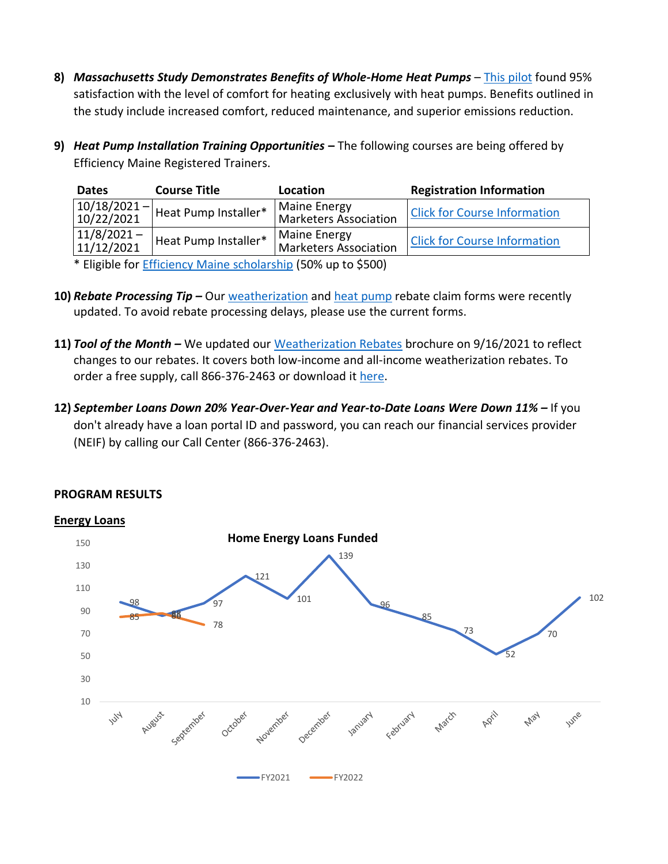- **8)** *Massachusetts Study Demonstrates Benefits of Whole-Home Heat Pumps* [This pilot](https://www.masscec.com/blog/2021/09/13/masscec-pilot-showcases-success-whole-home-heat-pumps) found 95% satisfaction with the level of comfort for heating exclusively with heat pumps. Benefits outlined in the study include increased comfort, reduced maintenance, and superior emissions reduction.
- **9)** *Heat Pump Installation Training Opportunities* **–** The following courses are being offered by Efficiency Maine Registered Trainers.

| <b>Dates</b>                                                  | <b>Course Title</b>                | Location                              | <b>Registration Information</b>     |  |  |  |  |  |  |  |  |
|---------------------------------------------------------------|------------------------------------|---------------------------------------|-------------------------------------|--|--|--|--|--|--|--|--|
| $ 10/18/2021 -  $<br>10/22/2021                               | <sup>'I</sup> Heat Pump Installer* | Maine Energy<br>Marketers Association | <b>Click for Course Information</b> |  |  |  |  |  |  |  |  |
| $11/8/2021 -$<br>11/12/2021                                   | Heat Pump Installer*               | Maine Energy<br>Marketers Association | <b>Click for Course Information</b> |  |  |  |  |  |  |  |  |
| * Eligible for Efficiency Maine scholarship (E00/ up to CE00) |                                    |                                       |                                     |  |  |  |  |  |  |  |  |

Eligible for [Efficiency Maine scholarship](https://www.efficiencymaine.com/docs/RRV-Heat-Pump-Training-Scholarship-Application.pdf) (50% up to \$500)

- **10)** *Rebate Processing Tip –* Our [weatherization](https://www.efficiencymaine.com/docs/Weatherization-Rebate-Claim-Form.pdf) and [heat pump](https://www.efficiencymaine.com/docs/Residential-Heat-Pump-Rebate-Claim-Form.pdf) rebate claim forms were recently updated. To avoid rebate processing delays, please use the current forms.
- **11)** *Tool of the Month –* We updated our [Weatherization Rebates](https://www.efficiencymaine.com/docs/Weatherization-Rebate-Brochure.pdf) brochure on 9/16/2021 to reflect changes to our rebates. It covers both low-income and all-income weatherization rebates. To order a free supply, call 866-376-2463 or download i[t here.](https://www.efficiencymaine.com/docs/Weatherization-Rebate-Brochure.pdf)
- **12)** *September Loans Down 20% Year-Over-Year and Year-to-Date Loans Were Down 11% –* If you don't already have a loan portal ID and password, you can reach our financial services provider (NEIF) by calling our Call Center (866-376-2463).



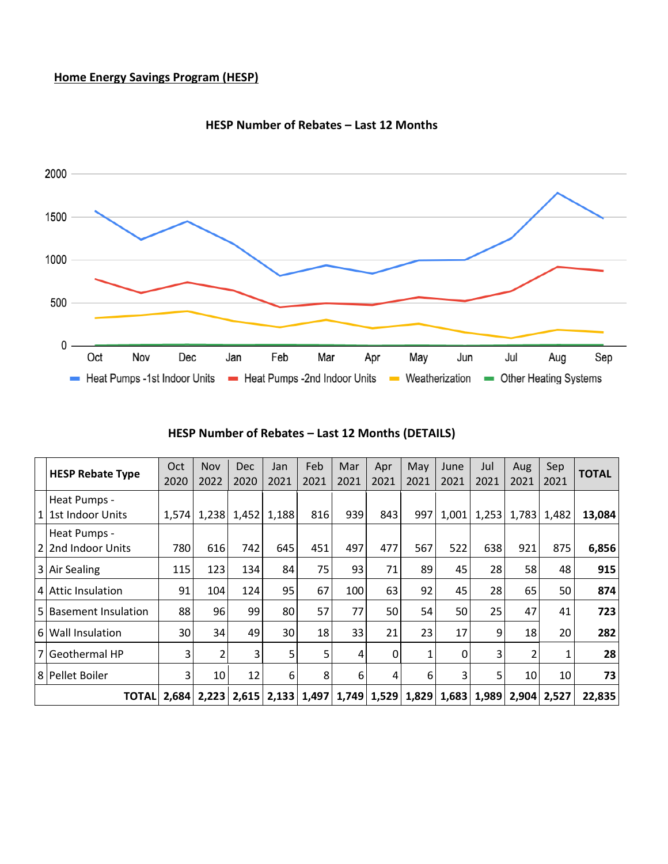## **Home Energy Savings Program (HESP)**



#### **HESP Number of Rebates – Last 12 Months**

# **HESP Number of Rebates – Last 12 Months (DETAILS)**

|                | <b>HESP Rebate Type</b>            | Oct<br>2020 | <b>Nov</b><br>2022 | <b>Dec</b><br>2020      | Jan<br>2021 | Feb<br>2021   | Mar<br>2021 | Apr<br>2021         | May<br>2021 | June<br>2021 | Jul<br>2021 | Aug<br>2021 | Sep<br>2021 | <b>TOTAL</b> |
|----------------|------------------------------------|-------------|--------------------|-------------------------|-------------|---------------|-------------|---------------------|-------------|--------------|-------------|-------------|-------------|--------------|
| 1 <sup>1</sup> | Heat Pumps -<br>1st Indoor Units   | 1,574       | 1,238              | 1,452                   | 1,188       | 816           | 939         | 843                 | 997         | 1,001        | 1,253       | 1,783       | 1,482       | 13,084       |
|                | Heat Pumps -<br>2 2nd Indoor Units | 780         | 616                | 742                     | 645         | 451           | 497         | 477                 | 567         | 522          | 638         | 921         | 875         | 6,856        |
|                | 3 Air Sealing                      | 115         | 123                | 134                     | 84          | 75            | 93          | 71                  | 89          | 45           | 28          | 58          | 48          | 915          |
|                | 4 Attic Insulation                 | 91          | 104                | 124                     | 95          | 67            | 100         | 63                  | 92          | 45           | 28          | 65          | 50          | 874          |
|                | 5 Basement Insulation              | 88          | 96                 | 99                      | 80          | 57            | 77          | 50                  | 54          | 50           | 25          | 47          | 41          | 723          |
|                | 6 Wall Insulation                  | 30          | 34                 | 49                      | 30          | 18            | 33          | 21                  | 23          | 17           | 9           | 18          | 20          | 282          |
|                | 7 Geothermal HP                    | 3           | 2                  | 3                       | 5           | 5             | 4           | 0                   | 1           | 0            | 3           | 2           | 1           | 28           |
|                | 8 Pellet Boiler                    | 3           | 10                 | 12                      | 6           | 8             | 6           | 4                   | 6           | 3            | 5           | 10          | 10          | 73           |
|                | <b>TOTALI</b>                      |             |                    | $2,684$   2,223   2,615 |             | $2,133$ 1,497 |             | $1,749$ 1,529 1,829 |             |              | 1,683 1,989 |             | 2,904 2,527 | 22,835       |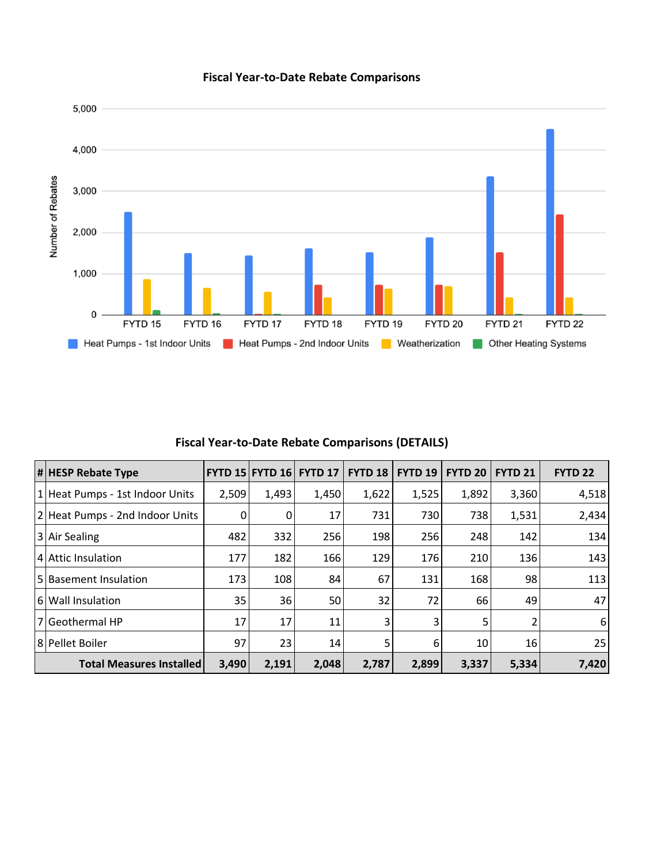

## **Fiscal Year-to-Date Rebate Comparisons**

## **Fiscal Year-to-Date Rebate Comparisons (DETAILS)**

| $  \#  $ HESP Rebate Type       |       | <b>FYTD 15 FYTD 16</b> | <b>FYTD 17</b> | FYTD <sub>18</sub> | <b>FYTD 19</b> | <b>FYTD 20</b> | <b>FYTD 21</b> | FYTD <sub>22</sub> |
|---------------------------------|-------|------------------------|----------------|--------------------|----------------|----------------|----------------|--------------------|
| 1 Heat Pumps - 1st Indoor Units | 2,509 | 1,493                  | 1,450          | 1,622              | 1,525          | 1,892          | 3,360          | 4,518              |
| 2 Heat Pumps - 2nd Indoor Units | 0     |                        | 17             | 731                | 730            | 738            | 1,531          | 2,434              |
| 3 Air Sealing                   | 482   | 332                    | 256            | 198                | 256            | 248            | 142            | 134                |
| 4 Attic Insulation              | 177   | 182                    | 166            | 129                | 176            | 210            | 136            | 143                |
| 5   Basement Insulation         | 173   | 108                    | 84             | 67                 | 131            | 168            | 98             | 113                |
| 6 Wall Insulation               | 35    | 36                     | 50             | 32                 | 72             | 66             | 49             | 47                 |
| l 7   Geothermal HP             | 17    | 17                     | 11             | 3                  | 3              | 5              |                | 6                  |
| 8 Pellet Boiler                 | 97    | 23                     | 14             | 5.                 | 6              | 10             | 16             | 25                 |
| <b>Total Measures Installed</b> | 3,490 | 2,191                  | 2,048          | 2,787              | 2,899          | 3,337          | 5,334          | 7,420              |